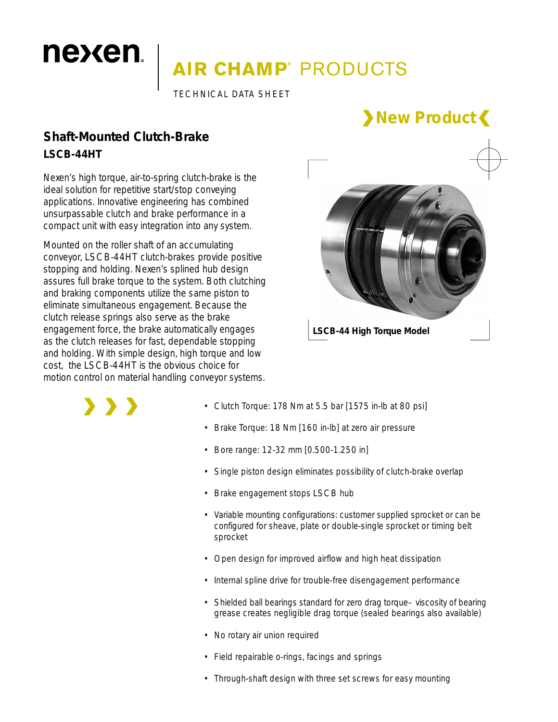# **AIR CHAMP**® PRODUCTS

TECHNICAL DATA SHEET

### **Shaft-Mounted Clutch-Brake LSCB-44HT**

nexen.

Nexen's high torque, air-to-spring clutch-brake is the ideal solution for repetitive start/stop conveying applications. Innovative engineering has combined unsurpassable clutch and brake performance in a compact unit with easy integration into any system.

Mounted on the roller shaft of an accumulating conveyor, LSCB-44HT clutch-brakes provide positive stopping and holding. Nexen's splined hub design assures full brake torque to the system. Both clutching and braking components utilize the same piston to eliminate simultaneous engagement. Because the clutch release springs also serve as the brake engagement force, the brake automatically engages as the clutch releases for fast, dependable stopping and holding. With simple design, high torque and low cost, the LSCB-44HT is the obvious choice for motion control on material handling conveyor systems.



**New Product**

**LSCB-44 High Torque Model**

> > >

- Clutch Torque: 178 Nm at 5.5 bar [1575 in-lb at 80 psi]
- Brake Torque: 18 Nm [160 in-lb] at zero air pressure
- Bore range: 12-32 mm [0.500-1.250 in]
- Single piston design eliminates possibility of clutch-brake overlap
- Brake engagement stops LSCB hub
- Variable mounting configurations: customer supplied sprocket or can be configured for sheave, plate or double-single sprocket or timing belt sprocket
- Open design for improved airflow and high heat dissipation
- Internal spline drive for trouble-free disengagement performance
- Shielded ball bearings standard for zero drag torque-viscosity of bearing grease creates negligible drag torque (sealed bearings also available)
- No rotary air union required
- Field repairable o-rings, facings and springs
- Through-shaft design with three set screws for easy mounting